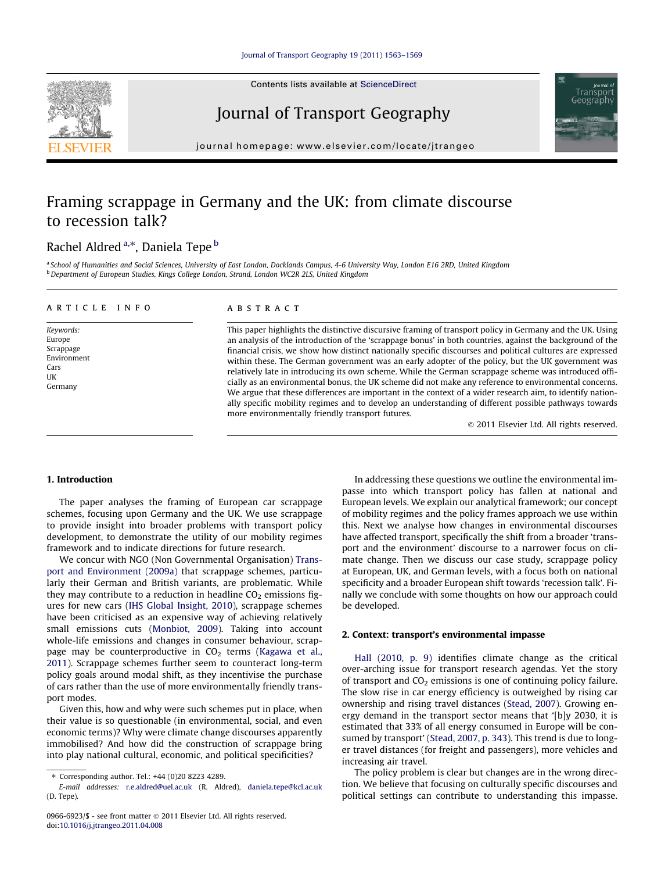Contents lists available at [ScienceDirect](http://www.sciencedirect.com/science/journal/09666923)

# Journal of Transport Geography

journal homepage: [www.elsevier.com/locate/jtrangeo](http://www.elsevier.com/locate/jtrangeo)

# Framing scrappage in Germany and the UK: from climate discourse to recession talk?

# Rachel Aldred <sup>a,</sup>\*, Daniela Tepe <sup>b</sup>

a School of Humanities and Social Sciences, University of East London, Docklands Campus, 4-6 University Way, London E16 2RD, United Kingdom <sup>b</sup> Department of European Studies, Kings College London, Strand, London WC2R 2LS, United Kingdom

### article info

Keywords: Europe Scrappage Environment Cars **I** IK Germany

# **ABSTRACT**

This paper highlights the distinctive discursive framing of transport policy in Germany and the UK. Using an analysis of the introduction of the 'scrappage bonus' in both countries, against the background of the financial crisis, we show how distinct nationally specific discourses and political cultures are expressed within these. The German government was an early adopter of the policy, but the UK government was relatively late in introducing its own scheme. While the German scrappage scheme was introduced officially as an environmental bonus, the UK scheme did not make any reference to environmental concerns. We argue that these differences are important in the context of a wider research aim, to identify nationally specific mobility regimes and to develop an understanding of different possible pathways towards more environmentally friendly transport futures.

- 2011 Elsevier Ltd. All rights reserved.

Geography

## 1. Introduction

The paper analyses the framing of European car scrappage schemes, focusing upon Germany and the UK. We use scrappage to provide insight into broader problems with transport policy development, to demonstrate the utility of our mobility regimes framework and to indicate directions for future research.

We concur with NGO (Non Governmental Organisation) [Trans](#page-6-0)[port and Environment \(2009a\)](#page-6-0) that scrappage schemes, particularly their German and British variants, are problematic. While they may contribute to a reduction in headline  $CO<sub>2</sub>$  emissions figures for new cars [\(IHS Global Insight, 2010\)](#page-5-0), scrappage schemes have been criticised as an expensive way of achieving relatively small emissions cuts [\(Monbiot, 2009\)](#page-5-0). Taking into account whole-life emissions and changes in consumer behaviour, scrappage may be counterproductive in  $CO<sub>2</sub>$  terms [\(Kagawa et al.,](#page-5-0) [2011\)](#page-5-0). Scrappage schemes further seem to counteract long-term policy goals around modal shift, as they incentivise the purchase of cars rather than the use of more environmentally friendly transport modes.

Given this, how and why were such schemes put in place, when their value is so questionable (in environmental, social, and even economic terms)? Why were climate change discourses apparently immobilised? And how did the construction of scrappage bring into play national cultural, economic, and political specificities?

In addressing these questions we outline the environmental impasse into which transport policy has fallen at national and European levels. We explain our analytical framework; our concept of mobility regimes and the policy frames approach we use within this. Next we analyse how changes in environmental discourses have affected transport, specifically the shift from a broader 'transport and the environment' discourse to a narrower focus on climate change. Then we discuss our case study, scrappage policy at European, UK, and German levels, with a focus both on national specificity and a broader European shift towards 'recession talk'. Finally we conclude with some thoughts on how our approach could be developed.

### 2. Context: transport's environmental impasse

[Hall \(2010, p. 9\)](#page-5-0) identifies climate change as the critical over-arching issue for transport research agendas. Yet the story of transport and  $CO<sub>2</sub>$  emissions is one of continuing policy failure. The slow rise in car energy efficiency is outweighed by rising car ownership and rising travel distances ([Stead, 2007](#page-6-0)). Growing energy demand in the transport sector means that '[b]y 2030, it is estimated that 33% of all energy consumed in Europe will be consumed by transport' ([Stead, 2007, p. 343](#page-6-0)). This trend is due to longer travel distances (for freight and passengers), more vehicles and increasing air travel.

The policy problem is clear but changes are in the wrong direction. We believe that focusing on culturally specific discourses and political settings can contribute to understanding this impasse.

<sup>⇑</sup> Corresponding author. Tel.: +44 (0)20 8223 4289.

E-mail addresses: [r.e.aldred@uel.ac.uk](mailto:r.e.aldred@uel.ac.uk) (R. Aldred), [daniela.tepe@kcl.ac.uk](mailto:daniela.tepe@kcl.ac.uk          ) (D. Tepe).

<sup>0966-6923/\$ -</sup> see front matter © 2011 Elsevier Ltd. All rights reserved. doi[:10.1016/j.jtrangeo.2011.04.008](http://dx.doi.org/10.1016/j.jtrangeo.2011.04.008)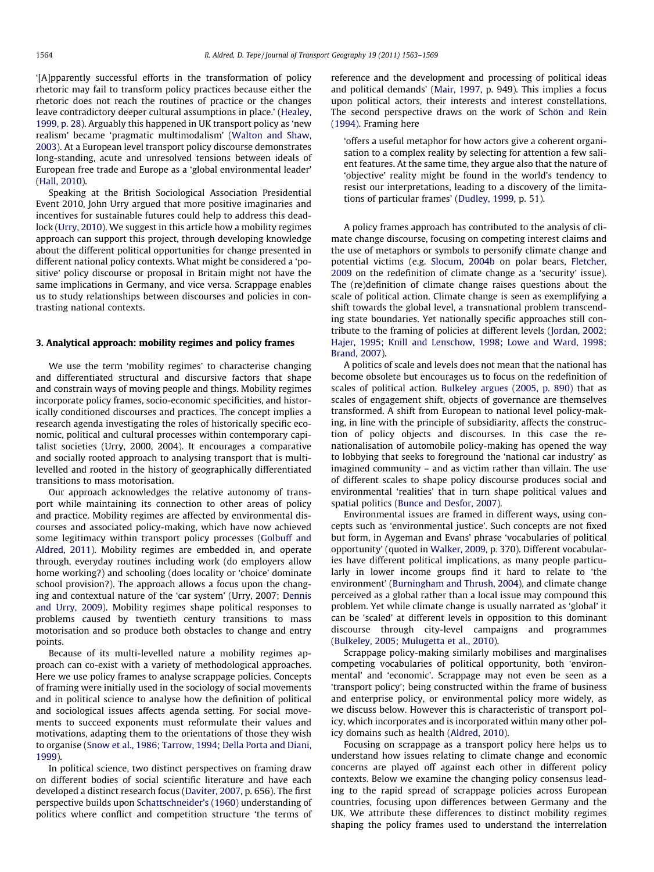'[A]pparently successful efforts in the transformation of policy rhetoric may fail to transform policy practices because either the rhetoric does not reach the routines of practice or the changes leave contradictory deeper cultural assumptions in place.' [\(Healey,](#page-5-0) [1999, p. 28\)](#page-5-0). Arguably this happened in UK transport policy as 'new realism' became 'pragmatic multimodalism' [\(Walton and Shaw,](#page-6-0) [2003\)](#page-6-0). At a European level transport policy discourse demonstrates long-standing, acute and unresolved tensions between ideals of European free trade and Europe as a 'global environmental leader' ([Hall, 2010](#page-5-0)).

Speaking at the British Sociological Association Presidential Event 2010, John Urry argued that more positive imaginaries and incentives for sustainable futures could help to address this deadlock [\(Urry, 2010\)](#page-6-0). We suggest in this article how a mobility regimes approach can support this project, through developing knowledge about the different political opportunities for change presented in different national policy contexts. What might be considered a 'positive' policy discourse or proposal in Britain might not have the same implications in Germany, and vice versa. Scrappage enables us to study relationships between discourses and policies in contrasting national contexts.

#### 3. Analytical approach: mobility regimes and policy frames

We use the term 'mobility regimes' to characterise changing and differentiated structural and discursive factors that shape and constrain ways of moving people and things. Mobility regimes incorporate policy frames, socio-economic specificities, and historically conditioned discourses and practices. The concept implies a research agenda investigating the roles of historically specific economic, political and cultural processes within contemporary capitalist societies (Urry, 2000, 2004). It encourages a comparative and socially rooted approach to analysing transport that is multilevelled and rooted in the history of geographically differentiated transitions to mass motorisation.

Our approach acknowledges the relative autonomy of transport while maintaining its connection to other areas of policy and practice. Mobility regimes are affected by environmental discourses and associated policy-making, which have now achieved some legitimacy within transport policy processes ([Golbuff and](#page-5-0) [Aldred, 2011\)](#page-5-0). Mobility regimes are embedded in, and operate through, everyday routines including work (do employers allow home working?) and schooling (does locality or 'choice' dominate school provision?). The approach allows a focus upon the changing and contextual nature of the 'car system' (Urry, 2007; [Dennis](#page-5-0) [and Urry, 2009](#page-5-0)). Mobility regimes shape political responses to problems caused by twentieth century transitions to mass motorisation and so produce both obstacles to change and entry points.

Because of its multi-levelled nature a mobility regimes approach can co-exist with a variety of methodological approaches. Here we use policy frames to analyse scrappage policies. Concepts of framing were initially used in the sociology of social movements and in political science to analyse how the definition of political and sociological issues affects agenda setting. For social movements to succeed exponents must reformulate their values and motivations, adapting them to the orientations of those they wish to organise [\(Snow et al., 1986; Tarrow, 1994; Della Porta and Diani,](#page-6-0) [1999\)](#page-6-0).

In political science, two distinct perspectives on framing draw on different bodies of social scientific literature and have each developed a distinct research focus ([Daviter, 2007](#page-5-0), p. 656). The first perspective builds upon [Schattschneider's \(1960\)](#page-6-0) understanding of politics where conflict and competition structure 'the terms of reference and the development and processing of political ideas and political demands' ([Mair, 1997](#page-5-0), p. 949). This implies a focus upon political actors, their interests and interest constellations. The second perspective draws on the work of [Schön and Rein](#page-6-0) [\(1994\).](#page-6-0) Framing here

'offers a useful metaphor for how actors give a coherent organisation to a complex reality by selecting for attention a few salient features. At the same time, they argue also that the nature of 'objective' reality might be found in the world's tendency to resist our interpretations, leading to a discovery of the limitations of particular frames' ([Dudley, 1999](#page-5-0), p. 51).

A policy frames approach has contributed to the analysis of climate change discourse, focusing on competing interest claims and the use of metaphors or symbols to personify climate change and potential victims (e.g. [Slocum, 2004b](#page-6-0) on polar bears, [Fletcher,](#page-5-0) [2009](#page-5-0) on the redefinition of climate change as a 'security' issue). The (re)definition of climate change raises questions about the scale of political action. Climate change is seen as exemplifying a shift towards the global level, a transnational problem transcending state boundaries. Yet nationally specific approaches still contribute to the framing of policies at different levels ([Jordan, 2002;](#page-5-0) [Hajer, 1995; Knill and Lenschow, 1998; Lowe and Ward, 1998;](#page-5-0) [Brand, 2007](#page-5-0)).

A politics of scale and levels does not mean that the national has become obsolete but encourages us to focus on the redefinition of scales of political action. [Bulkeley argues \(2005, p. 890\)](#page-5-0) that as scales of engagement shift, objects of governance are themselves transformed. A shift from European to national level policy-making, in line with the principle of subsidiarity, affects the construction of policy objects and discourses. In this case the renationalisation of automobile policy-making has opened the way to lobbying that seeks to foreground the 'national car industry' as imagined community – and as victim rather than villain. The use of different scales to shape policy discourse produces social and environmental 'realities' that in turn shape political values and spatial politics ([Bunce and Desfor, 2007\)](#page-5-0).

Environmental issues are framed in different ways, using concepts such as 'environmental justice'. Such concepts are not fixed but form, in Aygeman and Evans' phrase 'vocabularies of political opportunity' (quoted in [Walker, 2009](#page-6-0), p. 370). Different vocabularies have different political implications, as many people particularly in lower income groups find it hard to relate to 'the environment' ([Burningham and Thrush, 2004](#page-5-0)), and climate change perceived as a global rather than a local issue may compound this problem. Yet while climate change is usually narrated as 'global' it can be 'scaled' at different levels in opposition to this dominant discourse through city-level campaigns and programmes ([Bulkeley, 2005; Mulugetta et al., 2010\)](#page-5-0).

Scrappage policy-making similarly mobilises and marginalises competing vocabularies of political opportunity, both 'environmental' and 'economic'. Scrappage may not even be seen as a 'transport policy'; being constructed within the frame of business and enterprise policy, or environmental policy more widely, as we discuss below. However this is characteristic of transport policy, which incorporates and is incorporated within many other policy domains such as health ([Aldred, 2010](#page-5-0)).

Focusing on scrappage as a transport policy here helps us to understand how issues relating to climate change and economic concerns are played off against each other in different policy contexts. Below we examine the changing policy consensus leading to the rapid spread of scrappage policies across European countries, focusing upon differences between Germany and the UK. We attribute these differences to distinct mobility regimes shaping the policy frames used to understand the interrelation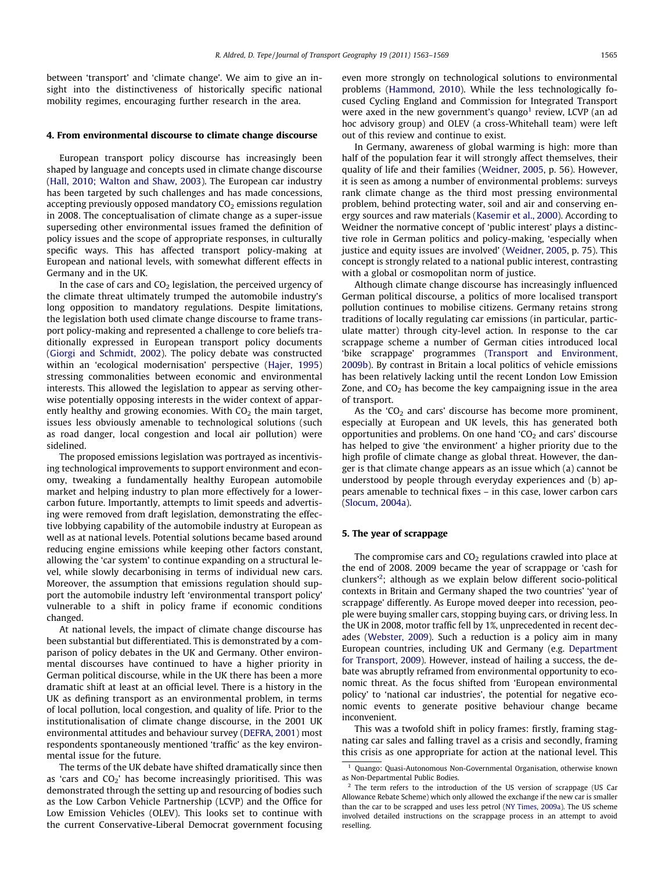between 'transport' and 'climate change'. We aim to give an insight into the distinctiveness of historically specific national mobility regimes, encouraging further research in the area.

## 4. From environmental discourse to climate change discourse

European transport policy discourse has increasingly been shaped by language and concepts used in climate change discourse ([Hall, 2010; Walton and Shaw, 2003](#page-5-0)). The European car industry has been targeted by such challenges and has made concessions, accepting previously opposed mandatory  $CO<sub>2</sub>$  emissions regulation in 2008. The conceptualisation of climate change as a super-issue superseding other environmental issues framed the definition of policy issues and the scope of appropriate responses, in culturally specific ways. This has affected transport policy-making at European and national levels, with somewhat different effects in Germany and in the UK.

In the case of cars and  $CO<sub>2</sub>$  legislation, the perceived urgency of the climate threat ultimately trumped the automobile industry's long opposition to mandatory regulations. Despite limitations, the legislation both used climate change discourse to frame transport policy-making and represented a challenge to core beliefs traditionally expressed in European transport policy documents ([Giorgi and Schmidt, 2002\)](#page-5-0). The policy debate was constructed within an 'ecological modernisation' perspective [\(Hajer, 1995\)](#page-5-0) stressing commonalities between economic and environmental interests. This allowed the legislation to appear as serving otherwise potentially opposing interests in the wider context of apparently healthy and growing economies. With  $CO<sub>2</sub>$  the main target, issues less obviously amenable to technological solutions (such as road danger, local congestion and local air pollution) were sidelined.

The proposed emissions legislation was portrayed as incentivising technological improvements to support environment and economy, tweaking a fundamentally healthy European automobile market and helping industry to plan more effectively for a lowercarbon future. Importantly, attempts to limit speeds and advertising were removed from draft legislation, demonstrating the effective lobbying capability of the automobile industry at European as well as at national levels. Potential solutions became based around reducing engine emissions while keeping other factors constant, allowing the 'car system' to continue expanding on a structural level, while slowly decarbonising in terms of individual new cars. Moreover, the assumption that emissions regulation should support the automobile industry left 'environmental transport policy' vulnerable to a shift in policy frame if economic conditions changed.

At national levels, the impact of climate change discourse has been substantial but differentiated. This is demonstrated by a comparison of policy debates in the UK and Germany. Other environmental discourses have continued to have a higher priority in German political discourse, while in the UK there has been a more dramatic shift at least at an official level. There is a history in the UK as defining transport as an environmental problem, in terms of local pollution, local congestion, and quality of life. Prior to the institutionalisation of climate change discourse, in the 2001 UK environmental attitudes and behaviour survey ([DEFRA, 2001\)](#page-5-0) most respondents spontaneously mentioned 'traffic' as the key environmental issue for the future.

The terms of the UK debate have shifted dramatically since then as 'cars and  $CO<sub>2</sub>$ ' has become increasingly prioritised. This was demonstrated through the setting up and resourcing of bodies such as the Low Carbon Vehicle Partnership (LCVP) and the Office for Low Emission Vehicles (OLEV). This looks set to continue with the current Conservative-Liberal Democrat government focusing even more strongly on technological solutions to environmental problems [\(Hammond, 2010](#page-5-0)). While the less technologically focused Cycling England and Commission for Integrated Transport were axed in the new government's quango<sup>1</sup> review, LCVP (an ad hoc advisory group) and OLEV (a cross-Whitehall team) were left out of this review and continue to exist.

In Germany, awareness of global warming is high: more than half of the population fear it will strongly affect themselves, their quality of life and their families [\(Weidner, 2005](#page-6-0), p. 56). However, it is seen as among a number of environmental problems: surveys rank climate change as the third most pressing environmental problem, behind protecting water, soil and air and conserving energy sources and raw materials [\(Kasemir et al., 2000\)](#page-5-0). According to Weidner the normative concept of 'public interest' plays a distinctive role in German politics and policy-making, 'especially when justice and equity issues are involved' ([Weidner, 2005](#page-6-0), p. 75). This concept is strongly related to a national public interest, contrasting with a global or cosmopolitan norm of justice.

Although climate change discourse has increasingly influenced German political discourse, a politics of more localised transport pollution continues to mobilise citizens. Germany retains strong traditions of locally regulating car emissions (in particular, particulate matter) through city-level action. In response to the car scrappage scheme a number of German cities introduced local 'bike scrappage' programmes ([Transport and Environment,](#page-6-0) [2009b](#page-6-0)). By contrast in Britain a local politics of vehicle emissions has been relatively lacking until the recent London Low Emission Zone, and  $CO<sub>2</sub>$  has become the key campaigning issue in the area of transport.

As the ' $CO<sub>2</sub>$  and cars' discourse has become more prominent, especially at European and UK levels, this has generated both opportunities and problems. On one hand  $CO<sub>2</sub>$  and cars' discourse has helped to give 'the environment' a higher priority due to the high profile of climate change as global threat. However, the danger is that climate change appears as an issue which (a) cannot be understood by people through everyday experiences and (b) appears amenable to technical fixes – in this case, lower carbon cars ([Slocum, 2004a\)](#page-6-0).

#### 5. The year of scrappage

The compromise cars and  $CO<sub>2</sub>$  regulations crawled into place at the end of 2008. 2009 became the year of scrappage or 'cash for clunkers'2 ; although as we explain below different socio-political contexts in Britain and Germany shaped the two countries' 'year of scrappage' differently. As Europe moved deeper into recession, people were buying smaller cars, stopping buying cars, or driving less. In the UK in 2008, motor traffic fell by 1%, unprecedented in recent decades [\(Webster, 2009](#page-6-0)). Such a reduction is a policy aim in many European countries, including UK and Germany (e.g. [Department](#page-5-0) [for Transport, 2009](#page-5-0)). However, instead of hailing a success, the debate was abruptly reframed from environmental opportunity to economic threat. As the focus shifted from 'European environmental policy' to 'national car industries', the potential for negative economic events to generate positive behaviour change became inconvenient.

This was a twofold shift in policy frames: firstly, framing stagnating car sales and falling travel as a crisis and secondly, framing this crisis as one appropriate for action at the national level. This

Quango: Quasi-Autonomous Non-Governmental Organisation, otherwise known as Non-Departmental Public Bodies.

<sup>2</sup> The term refers to the introduction of the US version of scrappage (US Car Allowance Rebate Scheme) which only allowed the exchange if the new car is smaller than the car to be scrapped and uses less petrol ([NY Times, 2009a\)](#page-6-0). The US scheme involved detailed instructions on the scrappage process in an attempt to avoid reselling.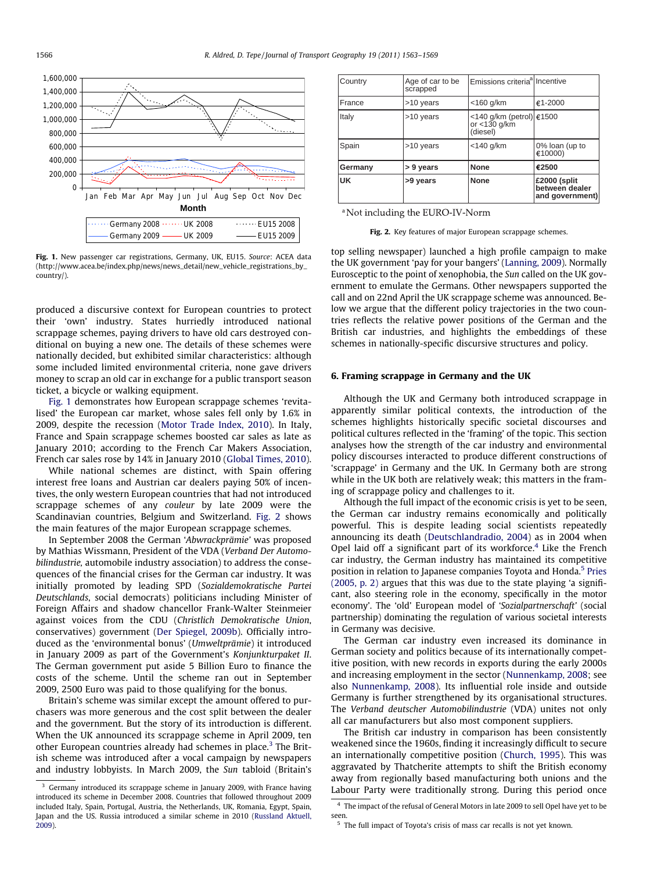

Fig. 1. New passenger car registrations, Germany, UK, EU15. Source: ACEA data (http://www.acea.be/index.php/news/news\_detail/new\_vehicle\_registrations\_by\_ country/).

produced a discursive context for European countries to protect their 'own' industry. States hurriedly introduced national scrappage schemes, paying drivers to have old cars destroyed conditional on buying a new one. The details of these schemes were nationally decided, but exhibited similar characteristics: although some included limited environmental criteria, none gave drivers money to scrap an old car in exchange for a public transport season ticket, a bicycle or walking equipment.

Fig. 1 demonstrates how European scrappage schemes 'revitalised' the European car market, whose sales fell only by 1.6% in 2009, despite the recession ([Motor Trade Index, 2010\)](#page-5-0). In Italy, France and Spain scrappage schemes boosted car sales as late as January 2010; according to the French Car Makers Association, French car sales rose by 14% in January 2010 ([Global Times, 2010\)](#page-5-0).

While national schemes are distinct, with Spain offering interest free loans and Austrian car dealers paying 50% of incentives, the only western European countries that had not introduced scrappage schemes of any couleur by late 2009 were the Scandinavian countries, Belgium and Switzerland. Fig. 2 shows the main features of the major European scrappage schemes.

In September 2008 the German 'Abwrackprämie' was proposed by Mathias Wissmann, President of the VDA (Verband Der Automobilindustrie, automobile industry association) to address the consequences of the financial crises for the German car industry. It was initially promoted by leading SPD (Sozialdemokratische Partei Deutschlands, social democrats) politicians including Minister of Foreign Affairs and shadow chancellor Frank-Walter Steinmeier against voices from the CDU (Christlich Demokratische Union, conservatives) government ([Der Spiegel, 2009b](#page-6-0)). Officially introduced as the 'environmental bonus' (Umweltprämie) it introduced in January 2009 as part of the Government's Konjunkturpaket II. The German government put aside 5 Billion Euro to finance the costs of the scheme. Until the scheme ran out in September 2009, 2500 Euro was paid to those qualifying for the bonus.

Britain's scheme was similar except the amount offered to purchasers was more generous and the cost split between the dealer and the government. But the story of its introduction is different. When the UK announced its scrappage scheme in April 2009, ten other European countries already had schemes in place.<sup>3</sup> The British scheme was introduced after a vocal campaign by newspapers and industry lobbyists. In March 2009, the Sun tabloid (Britain's

| UK      | >9 years                     | <b>None</b>                                             | £2000 (split<br>between dealer<br>and government) |
|---------|------------------------------|---------------------------------------------------------|---------------------------------------------------|
| Germany | > 9 years                    | <b>None</b>                                             | €2500                                             |
| Spain   | >10 years                    | $<$ 140 g/km                                            | 0% loan (up to<br>€10000)                         |
| Italy   | >10 years                    | <140 g/km (petrol) €1500<br>or $<$ 130 g/km<br>(diesel) |                                                   |
| France  | >10 years                    | $<$ 160 g/km                                            | €1-2000                                           |
| Country | Age of car to be<br>scrapped | Emissions criteria <sup>a</sup> Incentive               |                                                   |

<sup>a</sup> Not including the EURO-IV-Norm

Fig. 2. Key features of major European scrappage schemes.

top selling newspaper) launched a high profile campaign to make the UK government 'pay for your bangers' ([Lanning, 2009\)](#page-5-0). Normally Eurosceptic to the point of xenophobia, the Sun called on the UK government to emulate the Germans. Other newspapers supported the call and on 22nd April the UK scrappage scheme was announced. Below we argue that the different policy trajectories in the two countries reflects the relative power positions of the German and the British car industries, and highlights the embeddings of these schemes in nationally-specific discursive structures and policy.

#### 6. Framing scrappage in Germany and the UK

Although the UK and Germany both introduced scrappage in apparently similar political contexts, the introduction of the schemes highlights historically specific societal discourses and political cultures reflected in the 'framing' of the topic. This section analyses how the strength of the car industry and environmental policy discourses interacted to produce different constructions of 'scrappage' in Germany and the UK. In Germany both are strong while in the UK both are relatively weak; this matters in the framing of scrappage policy and challenges to it.

Although the full impact of the economic crisis is yet to be seen, the German car industry remains economically and politically powerful. This is despite leading social scientists repeatedly announcing its death ([Deutschlandradio, 2004\)](#page-5-0) as in 2004 when Opel laid off a significant part of its workforce.<sup>4</sup> Like the French car industry, the German industry has maintained its competitive position in relation to Japanese companies Toyota and Honda.5 [Pries](#page-6-0) [\(2005, p. 2\)](#page-6-0) argues that this was due to the state playing 'a significant, also steering role in the economy, specifically in the motor economy'. The 'old' European model of 'Sozialpartnerschaft' (social partnership) dominating the regulation of various societal interests in Germany was decisive.

The German car industry even increased its dominance in German society and politics because of its internationally competitive position, with new records in exports during the early 2000s and increasing employment in the sector [\(Nunnenkamp, 2008](#page-6-0); see also [Nunnenkamp, 2008\)](#page-6-0). Its influential role inside and outside Germany is further strengthened by its organisational structures. The Verband deutscher Automobilindustrie (VDA) unites not only all car manufacturers but also most component suppliers.

The British car industry in comparison has been consistently weakened since the 1960s, finding it increasingly difficult to secure an internationally competitive position [\(Church, 1995](#page-5-0)). This was aggravated by Thatcherite attempts to shift the British economy away from regionally based manufacturing both unions and the Labour Party were traditionally strong. During this period once

<sup>5</sup> The full impact of Toyota's crisis of mass car recalls is not yet known.

<sup>3</sup> Germany introduced its scrappage scheme in January 2009, with France having introduced its scheme in December 2008. Countries that followed throughout 2009 included Italy, Spain, Portugal, Austria, the Netherlands, UK, Romania, Egypt, Spain, Japan and the US. Russia introduced a similar scheme in 2010 ([Russland Aktuell,](#page-6-0) [2009](#page-6-0)).

 $4$  The impact of the refusal of General Motors in late 2009 to sell Opel have yet to be seen.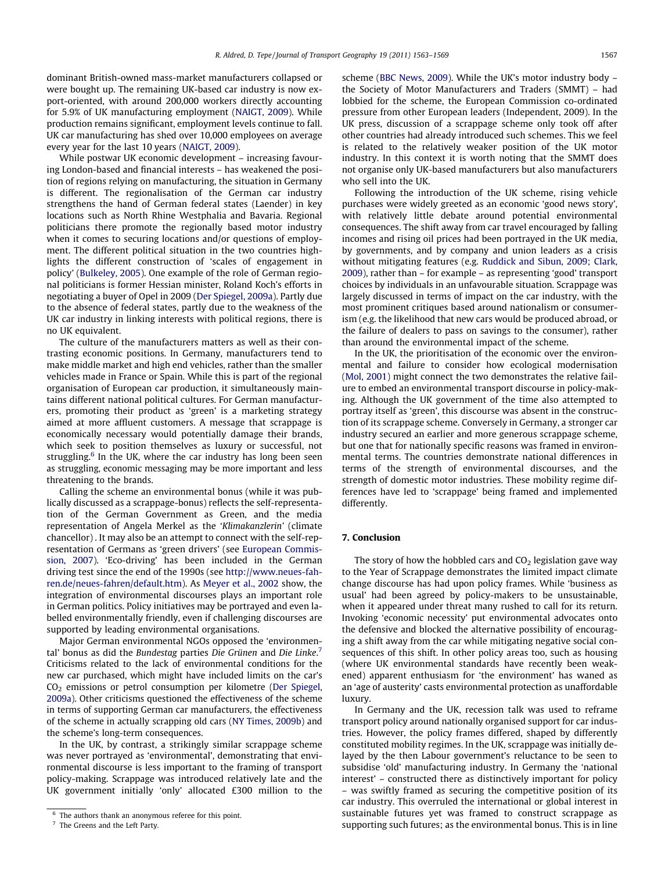dominant British-owned mass-market manufacturers collapsed or were bought up. The remaining UK-based car industry is now export-oriented, with around 200,000 workers directly accounting for 5.9% of UK manufacturing employment [\(NAIGT, 2009\)](#page-5-0). While production remains significant, employment levels continue to fall. UK car manufacturing has shed over 10,000 employees on average every year for the last 10 years [\(NAIGT, 2009](#page-5-0)).

While postwar UK economic development – increasing favouring London-based and financial interests – has weakened the position of regions relying on manufacturing, the situation in Germany is different. The regionalisation of the German car industry strengthens the hand of German federal states (Laender) in key locations such as North Rhine Westphalia and Bavaria. Regional politicians there promote the regionally based motor industry when it comes to securing locations and/or questions of employment. The different political situation in the two countries highlights the different construction of 'scales of engagement in policy' ([Bulkeley, 2005](#page-5-0)). One example of the role of German regional politicians is former Hessian minister, Roland Koch's efforts in negotiating a buyer of Opel in 2009 [\(Der Spiegel, 2009a](#page-6-0)). Partly due to the absence of federal states, partly due to the weakness of the UK car industry in linking interests with political regions, there is no UK equivalent.

The culture of the manufacturers matters as well as their contrasting economic positions. In Germany, manufacturers tend to make middle market and high end vehicles, rather than the smaller vehicles made in France or Spain. While this is part of the regional organisation of European car production, it simultaneously maintains different national political cultures. For German manufacturers, promoting their product as 'green' is a marketing strategy aimed at more affluent customers. A message that scrappage is economically necessary would potentially damage their brands, which seek to position themselves as luxury or successful, not struggling. $6$  In the UK, where the car industry has long been seen as struggling, economic messaging may be more important and less threatening to the brands.

Calling the scheme an environmental bonus (while it was publically discussed as a scrappage-bonus) reflects the self-representation of the German Government as Green, and the media representation of Angela Merkel as the 'Klimakanzlerin' (climate chancellor) . It may also be an attempt to connect with the self-representation of Germans as 'green drivers' (see [European Commis](#page-5-0)[sion, 2007](#page-5-0)). 'Eco-driving' has been included in the German driving test since the end of the 1990s (see [http://www.neues-fah](#page-6-0)[ren.de/neues-fahren/default.htm\)](#page-6-0). As [Meyer et al., 2002](#page-5-0) show, the integration of environmental discourses plays an important role in German politics. Policy initiatives may be portrayed and even labelled environmentally friendly, even if challenging discourses are supported by leading environmental organisations.

Major German environmental NGOs opposed the 'environmental' bonus as did the Bundestag parties Die Grünen and Die Linke.<sup>7</sup> Criticisms related to the lack of environmental conditions for the new car purchased, which might have included limits on the car's CO2 emissions or petrol consumption per kilometre [\(Der Spiegel,](#page-6-0) [2009a](#page-6-0)). Other criticisms questioned the effectiveness of the scheme in terms of supporting German car manufacturers, the effectiveness of the scheme in actually scrapping old cars ([NY Times, 2009b](#page-6-0)) and the scheme's long-term consequences.

In the UK, by contrast, a strikingly similar scrappage scheme was never portrayed as 'environmental', demonstrating that environmental discourse is less important to the framing of transport policy-making. Scrappage was introduced relatively late and the UK government initially 'only' allocated £300 million to the scheme ([BBC News, 2009](#page-5-0)). While the UK's motor industry body – the Society of Motor Manufacturers and Traders (SMMT) – had lobbied for the scheme, the European Commission co-ordinated pressure from other European leaders (Independent, 2009). In the UK press, discussion of a scrappage scheme only took off after other countries had already introduced such schemes. This we feel is related to the relatively weaker position of the UK motor industry. In this context it is worth noting that the SMMT does not organise only UK-based manufacturers but also manufacturers who sell into the UK.

Following the introduction of the UK scheme, rising vehicle purchases were widely greeted as an economic 'good news story', with relatively little debate around potential environmental consequences. The shift away from car travel encouraged by falling incomes and rising oil prices had been portrayed in the UK media, by governments, and by company and union leaders as a crisis without mitigating features (e.g. [Ruddick and Sibun, 2009; Clark,](#page-6-0) [2009](#page-6-0)), rather than – for example – as representing 'good' transport choices by individuals in an unfavourable situation. Scrappage was largely discussed in terms of impact on the car industry, with the most prominent critiques based around nationalism or consumerism (e.g. the likelihood that new cars would be produced abroad, or the failure of dealers to pass on savings to the consumer), rather than around the environmental impact of the scheme.

In the UK, the prioritisation of the economic over the environmental and failure to consider how ecological modernisation ([Mol, 2001\)](#page-5-0) might connect the two demonstrates the relative failure to embed an environmental transport discourse in policy-making. Although the UK government of the time also attempted to portray itself as 'green', this discourse was absent in the construction of its scrappage scheme. Conversely in Germany, a stronger car industry secured an earlier and more generous scrappage scheme, but one that for nationally specific reasons was framed in environmental terms. The countries demonstrate national differences in terms of the strength of environmental discourses, and the strength of domestic motor industries. These mobility regime differences have led to 'scrappage' being framed and implemented differently.

# 7. Conclusion

The story of how the hobbled cars and  $CO<sub>2</sub>$  legislation gave way to the Year of Scrappage demonstrates the limited impact climate change discourse has had upon policy frames. While 'business as usual' had been agreed by policy-makers to be unsustainable, when it appeared under threat many rushed to call for its return. Invoking 'economic necessity' put environmental advocates onto the defensive and blocked the alternative possibility of encouraging a shift away from the car while mitigating negative social consequences of this shift. In other policy areas too, such as housing (where UK environmental standards have recently been weakened) apparent enthusiasm for 'the environment' has waned as an 'age of austerity' casts environmental protection as unaffordable luxury.

In Germany and the UK, recession talk was used to reframe transport policy around nationally organised support for car industries. However, the policy frames differed, shaped by differently constituted mobility regimes. In the UK, scrappage was initially delayed by the then Labour government's reluctance to be seen to subsidise 'old' manufacturing industry. In Germany the 'national interest' – constructed there as distinctively important for policy – was swiftly framed as securing the competitive position of its car industry. This overruled the international or global interest in sustainable futures yet was framed to construct scrappage as supporting such futures; as the environmental bonus. This is in line

The authors thank an anonymous referee for this point.

The Greens and the Left Party.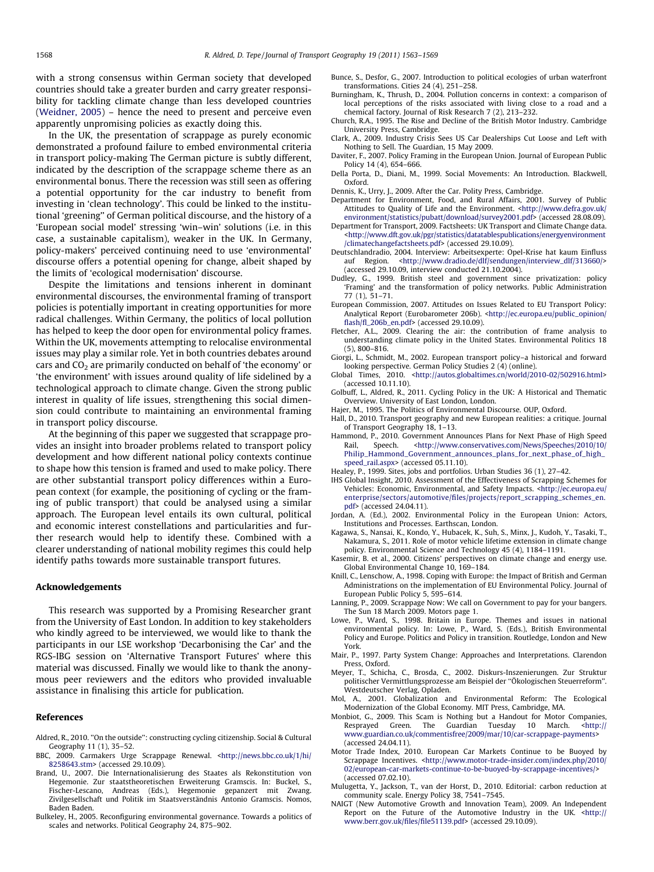<span id="page-5-0"></span>with a strong consensus within German society that developed countries should take a greater burden and carry greater responsibility for tackling climate change than less developed countries ([Weidner, 2005\)](#page-6-0) – hence the need to present and perceive even apparently unpromising policies as exactly doing this.

In the UK, the presentation of scrappage as purely economic demonstrated a profound failure to embed environmental criteria in transport policy-making The German picture is subtly different, indicated by the description of the scrappage scheme there as an environmental bonus. There the recession was still seen as offering a potential opportunity for the car industry to benefit from investing in 'clean technology'. This could be linked to the institutional 'greening'' of German political discourse, and the history of a 'European social model' stressing 'win–win' solutions (i.e. in this case, a sustainable capitalism), weaker in the UK. In Germany, policy-makers' perceived continuing need to use 'environmental' discourse offers a potential opening for change, albeit shaped by the limits of 'ecological modernisation' discourse.

Despite the limitations and tensions inherent in dominant environmental discourses, the environmental framing of transport policies is potentially important in creating opportunities for more radical challenges. Within Germany, the politics of local pollution has helped to keep the door open for environmental policy frames. Within the UK, movements attempting to relocalise environmental issues may play a similar role. Yet in both countries debates around cars and  $CO<sub>2</sub>$  are primarily conducted on behalf of 'the economy' or 'the environment' with issues around quality of life sidelined by a technological approach to climate change. Given the strong public interest in quality of life issues, strengthening this social dimension could contribute to maintaining an environmental framing in transport policy discourse.

At the beginning of this paper we suggested that scrappage provides an insight into broader problems related to transport policy development and how different national policy contexts continue to shape how this tension is framed and used to make policy. There are other substantial transport policy differences within a European context (for example, the positioning of cycling or the framing of public transport) that could be analysed using a similar approach. The European level entails its own cultural, political and economic interest constellations and particularities and further research would help to identify these. Combined with a clearer understanding of national mobility regimes this could help identify paths towards more sustainable transport futures.

#### Acknowledgements

This research was supported by a Promising Researcher grant from the University of East London. In addition to key stakeholders who kindly agreed to be interviewed, we would like to thank the participants in our LSE workshop 'Decarbonising the Car' and the RGS-IBG session on 'Alternative Transport Futures' where this material was discussed. Finally we would like to thank the anonymous peer reviewers and the editors who provided invaluable assistance in finalising this article for publication.

#### References

- Aldred, R., 2010. ''On the outside'': constructing cycling citizenship. Social & Cultural Geography 11 (1), 35–52.
- BBC, 2009. Carmakers Urge Scrappage Renewal. <[http://news.bbc.co.uk/1/hi/](http://news.bbc.co.uk/1/hi/8258643.stm) [8258643.stm](http://news.bbc.co.uk/1/hi/8258643.stm)> (accessed 29.10.09).
- Brand, U., 2007. Die Internationalisierung des Staates als Rekonstitution von Hegemonie. Zur staatstheoretischen Erweiterung Gramscis. In: Buckel, S., Fischer-Lescano, Andreas (Eds.), Hegemonie gepanzert mit Zwang. Zivilgesellschaft und Politik im Staatsverständnis Antonio Gramscis. Nomos, Baden Baden.
- Bulkeley, H., 2005. Reconfiguring environmental governance. Towards a politics of scales and networks. Political Geography 24, 875–902.
- Bunce, S., Desfor, G., 2007. Introduction to political ecologies of urban waterfront transformations. Cities 24 (4), 251–258.
- Burningham, K., Thrush, D., 2004. Pollution concerns in context: a comparison of local perceptions of the risks associated with living close to a road and a chemical factory. Journal of Risk Research 7 (2), 213–232.
- Church, R.A., 1995. The Rise and Decline of the British Motor Industry. Cambridge University Press, Cambridge.
- Clark, A., 2009. Industry Crisis Sees US Car Dealerships Cut Loose and Left with Nothing to Sell. The Guardian, 15 May 2009.
- Daviter, F., 2007. Policy Framing in the European Union. Journal of European Public Policy 14 (4), 654–666.
- Della Porta, D., Diani, M., 1999. Social Movements: An Introduction. Blackwell, Oxford.
- Dennis, K., Urry, J., 2009. After the Car. Polity Press, Cambridge.
- Department for Environment, Food, and Rural Affairs, 2001. Survey of Public Attitudes to Quality of Life and the Environment. [<http://www.defra.gov.uk/](http://www.defra.gov.uk/environment/statistics/pubatt/download/survey2001.pdf) [environment/statistics/pubatt/download/survey2001.pdf](http://www.defra.gov.uk/environment/statistics/pubatt/download/survey2001.pdf)> (accessed 28.08.09).
- Department for Transport, 2009. Factsheets: UK Transport and Climate Change data. [<http://www.dft.gov.uk/pgr/statistics/datatablespublications/energyenvironment](http://www.dft.gov.uk/pgr/statistics/datatablespublications/energyenvironment/climatechangefactsheets.pdf) [/climatechangefactsheets.pdf>](http://www.dft.gov.uk/pgr/statistics/datatablespublications/energyenvironment/climatechangefactsheets.pdf) (accessed 29.10.09).
- Deutschlandradio, 2004. Interview: Arbeitsexperte: Opel-Krise hat kaum Einfluss auf Region. <[http://www.dradio.de/dlf/sendungen/interview\\_dlf/313660/](http://www.dradio.de/dlf/sendungen/interview_dlf/313660/)> (accessed 29.10.09, interview conducted 21.10.2004).
- Dudley, G., 1999. British steel and government since privatization: policy 'Framing' and the transformation of policy networks. Public Administration 77 (1), 51–71.
- European Commission, 2007. Attitudes on Issues Related to EU Transport Policy: Analytical Report (Eurobarometer 206b). [<http://ec.europa.eu/public\\_opinion/](http://ec.europa.eu/public_opinion/flash/fl_206b_en.pdf)
- [flash/fl\\_206b\\_en.pdf>](http://ec.europa.eu/public_opinion/flash/fl_206b_en.pdf) (accessed 29.10.09). Fletcher, A.L., 2009. Clearing the air: the contribution of frame analysis to understanding climate policy in the United States. Environmental Politics 18 (5), 800–816.
- Giorgi, L., Schmidt, M., 2002. European transport policy–a historical and forward looking perspective. German Policy Studies 2 (4) (online).
- Global Times, 2010. <<http://autos.globaltimes.cn/world/2010-02/502916.html>> (accessed 10.11.10).
- Golbuff, L., Aldred, R., 2011. Cycling Policy in the UK: A Historical and Thematic Overview. University of East London, London.
- Hajer, M., 1995. The Politics of Environmental Discourse. OUP, Oxford.
- Hall, D., 2010. Transport geography and new European realities: a critique. Journal of Transport Geography 18, 1–13.
- Hammond, P., 2010. Government Announces Plans for Next Phase of High Speed Rail, Speech. <[http://www.conservatives.com/News/Speeches/2010/10/](http://www.conservatives.com/News/Speeches/2010/10/Philip_Hammond_Government_announces_plans_for_next_phase_of_high_speed_rail.aspx) [Philip\\_Hammond\\_Government\\_announces\\_plans\\_for\\_next\\_phase\\_of\\_high\\_](http://www.conservatives.com/News/Speeches/2010/10/Philip_Hammond_Government_announces_plans_for_next_phase_of_high_speed_rail.aspx) [speed\\_rail.aspx>](http://www.conservatives.com/News/Speeches/2010/10/Philip_Hammond_Government_announces_plans_for_next_phase_of_high_speed_rail.aspx) (accessed 05.11.10).
- Healey, P., 1999. Sites, jobs and portfolios. Urban Studies 36 (1), 27–42.
- IHS Global Insight, 2010. Assessment of the Effectiveness of Scrapping Schemes for Vehicles: Economic, Environmental, and Safety Impacts. <[http://ec.europa.eu/](http://ec.europa.eu/enterprise/sectors/automotive/files/projects/report_scrapping_schemes_en.pdf) [enterprise/sectors/automotive/files/projects/report\\_scrapping\\_schemes\\_en.](http://ec.europa.eu/enterprise/sectors/automotive/files/projects/report_scrapping_schemes_en.pdf) [pdf>](http://ec.europa.eu/enterprise/sectors/automotive/files/projects/report_scrapping_schemes_en.pdf) (accessed 24.04.11).
- Jordan, A. (Ed.), 2002. Environmental Policy in the European Union: Actors, Institutions and Processes. Earthscan, London.
- Kagawa, S., Nansai, K., Kondo, Y., Hubacek, K., Suh, S., Minx, J., Kudoh, Y., Tasaki, T., Nakamura, S., 2011. Role of motor vehicle lifetime extension in climate change policy. Environmental Science and Technology 45 (4), 1184–1191.
- Kasemir, B. et al., 2000. Citizens' perspectives on climate change and energy use. Global Environmental Change 10, 169–184.
- Knill, C., Lenschow, A., 1998. Coping with Europe: the Impact of British and German Administrations on the implementation of EU Environmental Policy. Journal of European Public Policy 5, 595–614.
- Lanning, P., 2009. Scrappage Now: We call on Government to pay for your bangers. The Sun 18 March 2009. Motors page 1.
- Lowe, P., Ward, S., 1998. Britain in Europe. Themes and issues in national environmental policy. In: Lowe, P., Ward, S. (Eds.), British Environmental Policy and Europe. Politics and Policy in transition. Routledge, London and New York.
- Mair, P., 1997. Party System Change: Approaches and Interpretations. Clarendon Press, Oxford.
- Meyer, T., Schicha, C., Brosda, C., 2002. Diskurs-Inszenierungen. Zur Struktur politischer Vermittlungsprozesse am Beispiel der ''Ökologischen Steuerreform''. Westdeutscher Verlag, Opladen.
- Mol, A., 2001. Globalization and Environmental Reform: The Ecological Modernization of the Global Economy. MIT Press, Cambridge, MA.
- Monbiot, G., 2009. This Scam is Nothing but a Handout for Motor Companies, Resprayed Green. The Guardian Tuesday 10 March. [<http://](http://www.guardian.co.uk/commentisfree/2009/mar/10/car-scrappage-payments) [www.guardian.co.uk/commentisfree/2009/mar/10/car-scrappage-payments>](http://www.guardian.co.uk/commentisfree/2009/mar/10/car-scrappage-payments) (accessed 24.04.11).
- Motor Trade Index, 2010. European Car Markets Continue to be Buoyed by Scrappage Incentives. <[http://www.motor-trade-insider.com/index.php/2010/](http://www.motor-trade-insider.com/index.php/2010/02/european-car-markets-continue-to-be-buoyed-by-scrappage-incentives/) [02/european-car-markets-continue-to-be-buoyed-by-scrappage-incentives/>](http://www.motor-trade-insider.com/index.php/2010/02/european-car-markets-continue-to-be-buoyed-by-scrappage-incentives/) (accessed 07.02.10).
- Mulugetta, Y., Jackson, T., van der Horst, D., 2010. Editorial: carbon reduction at community scale. Energy Policy 38, 7541–7545.
- NAIGT (New Automotive Growth and Innovation Team), 2009. An Independent Report on the Future of the Automotive Industry in the UK. [<http://](http://www.berr.gov.uk/files/file51139.pdf) [www.berr.gov.uk/files/file51139.pdf](http://www.berr.gov.uk/files/file51139.pdf)> (accessed 29.10.09).